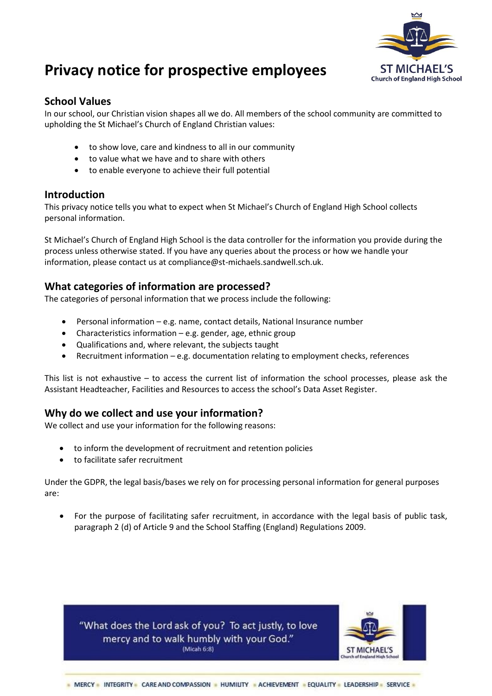

# **Privacy notice for prospective employees**

# **School Values**

In our school, our Christian vision shapes all we do. All members of the school community are committed to upholding the St Michael's Church of England Christian values:

- to show love, care and kindness to all in our community
- to value what we have and to share with others
- to enable everyone to achieve their full potential

## **Introduction**

This privacy notice tells you what to expect when St Michael's Church of England High School collects personal information.

St Michael's Church of England High School is the data controller for the information you provide during the process unless otherwise stated. If you have any queries about the process or how we handle your information, please contact us at compliance@st-michaels.sandwell.sch.uk.

## **What categories of information are processed?**

The categories of personal information that we process include the following:

- Personal information e.g. name, contact details, National Insurance number
- Characteristics information e.g. gender, age, ethnic group
- Qualifications and, where relevant, the subjects taught
- Recruitment information e.g. documentation relating to employment checks, references

This list is not exhaustive – to access the current list of information the school processes, please ask the Assistant Headteacher, Facilities and Resources to access the school's Data Asset Register.

# **Why do we collect and use your information?**

We collect and use your information for the following reasons:

- to inform the development of recruitment and retention policies
- to facilitate safer recruitment

Under the GDPR, the legal basis/bases we rely on for processing personal information for general purposes are:

 For the purpose of facilitating safer recruitment, in accordance with the legal basis of public task, paragraph 2 (d) of Article 9 and the School Staffing (England) Regulations 2009.

"What does the Lord ask of you? To act justly, to love mercy and to walk humbly with your God." (Micah 6:8)

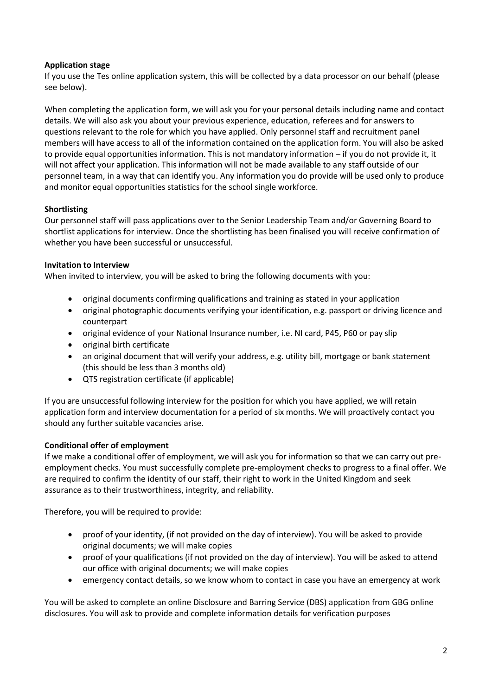#### **Application stage**

If you use the Tes online application system, this will be collected by a data processor on our behalf (please see below).

When completing the application form, we will ask you for your personal details including name and contact details. We will also ask you about your previous experience, education, referees and for answers to questions relevant to the role for which you have applied. Only personnel staff and recruitment panel members will have access to all of the information contained on the application form. You will also be asked to provide equal opportunities information. This is not mandatory information – if you do not provide it, it will not affect your application. This information will not be made available to any staff outside of our personnel team, in a way that can identify you. Any information you do provide will be used only to produce and monitor equal opportunities statistics for the school single workforce.

#### **Shortlisting**

Our personnel staff will pass applications over to the Senior Leadership Team and/or Governing Board to shortlist applications for interview. Once the shortlisting has been finalised you will receive confirmation of whether you have been successful or unsuccessful.

#### **Invitation to Interview**

When invited to interview, you will be asked to bring the following documents with you:

- original documents confirming qualifications and training as stated in your application
- original photographic documents verifying your identification, e.g. passport or driving licence and counterpart
- original evidence of your National Insurance number, i.e. NI card, P45, P60 or pay slip
- original birth certificate
- an original document that will verify your address, e.g. utility bill, mortgage or bank statement (this should be less than 3 months old)
- QTS registration certificate (if applicable)

If you are unsuccessful following interview for the position for which you have applied, we will retain application form and interview documentation for a period of six months. We will proactively contact you should any further suitable vacancies arise.

## **Conditional offer of employment**

If we make a conditional offer of employment, we will ask you for information so that we can carry out preemployment checks. You must successfully complete pre-employment checks to progress to a final offer. We are required to confirm the identity of our staff, their right to work in the United Kingdom and seek assurance as to their trustworthiness, integrity, and reliability.

Therefore, you will be required to provide:

- proof of your identity, (if not provided on the day of interview). You will be asked to provide original documents; we will make copies
- proof of your qualifications (if not provided on the day of interview). You will be asked to attend our office with original documents; we will make copies
- emergency contact details, so we know whom to contact in case you have an emergency at work

You will be asked to complete an online Disclosure and Barring Service (DBS) application from GBG online disclosures. You will ask to provide and complete information details for verification purposes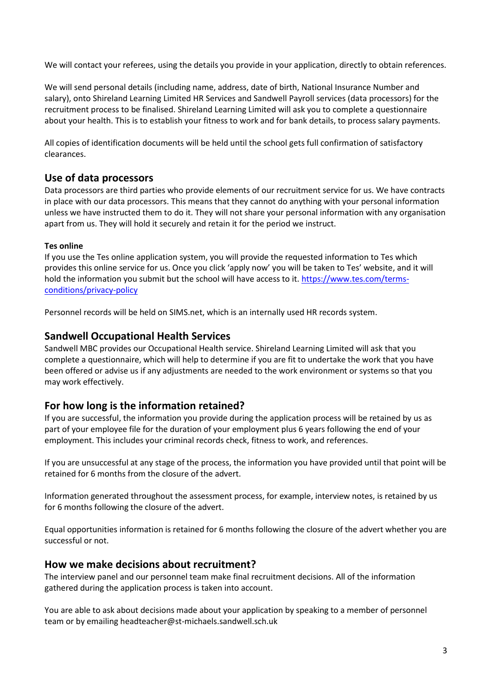We will contact your referees, using the details you provide in your application, directly to obtain references.

We will send personal details (including name, address, date of birth, National Insurance Number and salary), onto Shireland Learning Limited HR Services and Sandwell Payroll services (data processors) for the recruitment process to be finalised. Shireland Learning Limited will ask you to complete a questionnaire about your health. This is to establish your fitness to work and for bank details, to process salary payments.

All copies of identification documents will be held until the school gets full confirmation of satisfactory clearances.

## **Use of data processors**

Data processors are third parties who provide elements of our recruitment service for us. We have contracts in place with our data processors. This means that they cannot do anything with your personal information unless we have instructed them to do it. They will not share your personal information with any organisation apart from us. They will hold it securely and retain it for the period we instruct.

#### **Tes online**

If you use the Tes online application system, you will provide the requested information to Tes which provides this online service for us. Once you click 'apply now' you will be taken to Tes' website, and it will hold the information you submit but the school will have access to it. [https://www.tes.com/terms](https://www.tes.com/terms-conditions/privacy-policy)[conditions/privacy-policy](https://www.tes.com/terms-conditions/privacy-policy)

Personnel records will be held on SIMS.net, which is an internally used HR records system.

#### **Sandwell Occupational Health Services**

Sandwell MBC provides our Occupational Health service. Shireland Learning Limited will ask that you complete a questionnaire, which will help to determine if you are fit to undertake the work that you have been offered or advise us if any adjustments are needed to the work environment or systems so that you may work effectively.

#### **For how long is the information retained?**

If you are successful, the information you provide during the application process will be retained by us as part of your employee file for the duration of your employment plus 6 years following the end of your employment. This includes your criminal records check, fitness to work, and references.

If you are unsuccessful at any stage of the process, the information you have provided until that point will be retained for 6 months from the closure of the advert.

Information generated throughout the assessment process, for example, interview notes, is retained by us for 6 months following the closure of the advert.

Equal opportunities information is retained for 6 months following the closure of the advert whether you are successful or not.

#### **How we make decisions about recruitment?**

The interview panel and our personnel team make final recruitment decisions. All of the information gathered during the application process is taken into account.

You are able to ask about decisions made about your application by speaking to a member of personnel team or by emailing headteacher@st-michaels.sandwell.sch.uk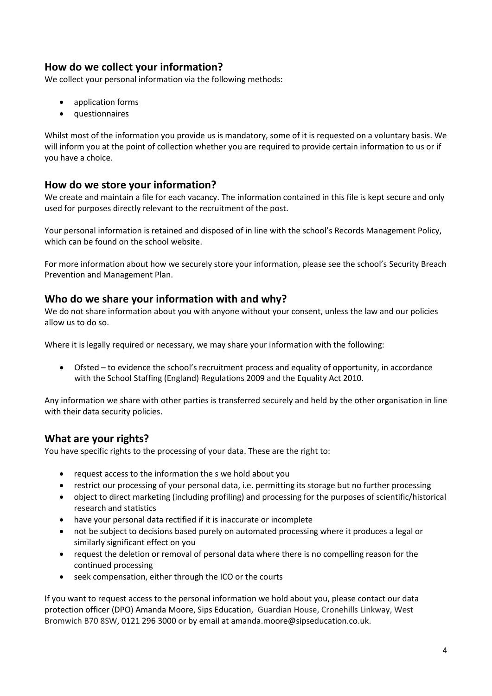# **How do we collect your information?**

We collect your personal information via the following methods:

- application forms
- questionnaires

Whilst most of the information you provide us is mandatory, some of it is requested on a voluntary basis. We will inform you at the point of collection whether you are required to provide certain information to us or if you have a choice.

## **How do we store your information?**

We create and maintain a file for each vacancy. The information contained in this file is kept secure and only used for purposes directly relevant to the recruitment of the post.

Your personal information is retained and disposed of in line with the school's Records Management Policy, which can be found on the school website.

For more information about how we securely store your information, please see the school's Security Breach Prevention and Management Plan.

# **Who do we share your information with and why?**

We do not share information about you with anyone without your consent, unless the law and our policies allow us to do so.

Where it is legally required or necessary, we may share your information with the following:

 Ofsted – to evidence the school's recruitment process and equality of opportunity, in accordance with the School Staffing (England) Regulations 2009 and the Equality Act 2010.

Any information we share with other parties is transferred securely and held by the other organisation in line with their data security policies.

# **What are your rights?**

You have specific rights to the processing of your data. These are the right to:

- request access to the information the s we hold about you
- restrict our processing of your personal data, i.e. permitting its storage but no further processing
- object to direct marketing (including profiling) and processing for the purposes of scientific/historical research and statistics
- have your personal data rectified if it is inaccurate or incomplete
- not be subject to decisions based purely on automated processing where it produces a legal or similarly significant effect on you
- request the deletion or removal of personal data where there is no compelling reason for the continued processing
- seek compensation, either through the ICO or the courts

If you want to request access to the personal information we hold about you, please contact our data protection officer (DPO) Amanda Moore, Sips Education, Guardian House, Cronehills Linkway, West Bromwich B70 8SW, 0121 296 3000 or by email a[t amanda.moore@sipseducation.co.uk.](mailto:amanda.moore@sipseducation.co.uk)